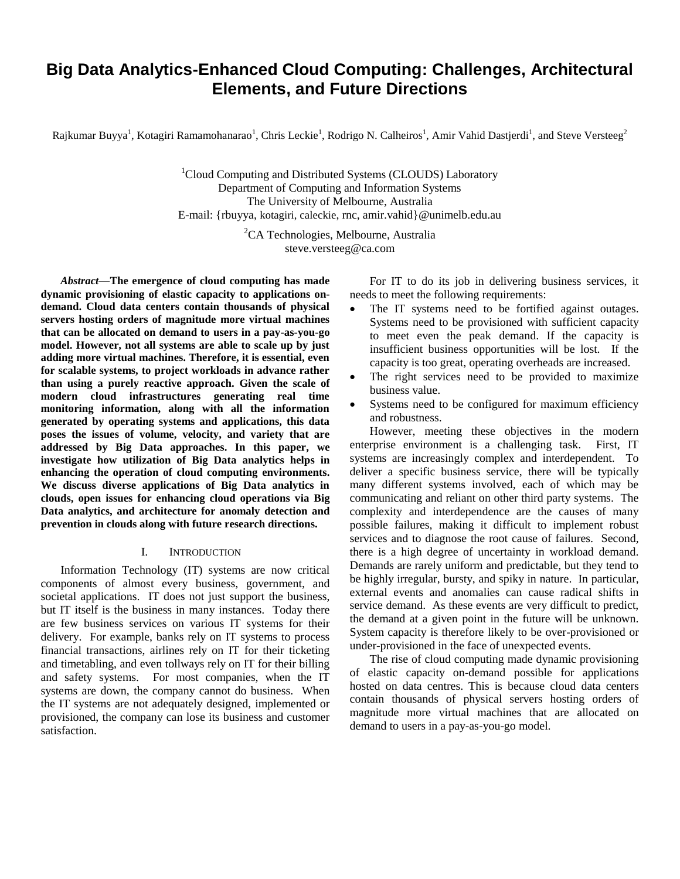# **Big Data Analytics-Enhanced Cloud Computing: Challenges, Architectural Elements, and Future Directions**

Rajkumar Buyya<sup>1</sup>, Kotagiri Ramamohanarao<sup>1</sup>, Chris Leckie<sup>1</sup>, Rodrigo N. Calheiros<sup>1</sup>, Amir Vahid Dastjerdi<sup>1</sup>, and Steve Versteeg<sup>2</sup>

<sup>1</sup>Cloud Computing and Distributed Systems (CLOUDS) Laboratory Department of Computing and Information Systems The University of Melbourne, Australia E-mail: {rbuyya, kotagiri, caleckie, rnc, amir.vahid}@unimelb.edu.au

> <sup>2</sup>CA Technologies, Melbourne, Australia steve.versteeg@ca.com

*Abstract*—**The emergence of cloud computing has made dynamic provisioning of elastic capacity to applications ondemand. Cloud data centers contain thousands of physical servers hosting orders of magnitude more virtual machines that can be allocated on demand to users in a pay-as-you-go model. However, not all systems are able to scale up by just adding more virtual machines. Therefore, it is essential, even for scalable systems, to project workloads in advance rather than using a purely reactive approach. Given the scale of modern cloud infrastructures generating real time monitoring information, along with all the information generated by operating systems and applications, this data poses the issues of volume, velocity, and variety that are addressed by Big Data approaches. In this paper, we investigate how utilization of Big Data analytics helps in enhancing the operation of cloud computing environments. We discuss diverse applications of Big Data analytics in clouds, open issues for enhancing cloud operations via Big Data analytics, and architecture for anomaly detection and prevention in clouds along with future research directions.**

# I. INTRODUCTION

Information Technology (IT) systems are now critical components of almost every business, government, and societal applications. IT does not just support the business, but IT itself is the business in many instances. Today there are few business services on various IT systems for their delivery. For example, banks rely on IT systems to process financial transactions, airlines rely on IT for their ticketing and timetabling, and even tollways rely on IT for their billing and safety systems. For most companies, when the IT systems are down, the company cannot do business. When the IT systems are not adequately designed, implemented or provisioned, the company can lose its business and customer satisfaction.

For IT to do its job in delivering business services, it needs to meet the following requirements:

- The IT systems need to be fortified against outages. Systems need to be provisioned with sufficient capacity to meet even the peak demand. If the capacity is insufficient business opportunities will be lost. If the capacity is too great, operating overheads are increased.
- The right services need to be provided to maximize business value.
- Systems need to be configured for maximum efficiency and robustness.

However, meeting these objectives in the modern enterprise environment is a challenging task. First, IT systems are increasingly complex and interdependent. To deliver a specific business service, there will be typically many different systems involved, each of which may be communicating and reliant on other third party systems. The complexity and interdependence are the causes of many possible failures, making it difficult to implement robust services and to diagnose the root cause of failures. Second, there is a high degree of uncertainty in workload demand. Demands are rarely uniform and predictable, but they tend to be highly irregular, bursty, and spiky in nature. In particular, external events and anomalies can cause radical shifts in service demand. As these events are very difficult to predict, the demand at a given point in the future will be unknown. System capacity is therefore likely to be over-provisioned or under-provisioned in the face of unexpected events.

The rise of cloud computing made dynamic provisioning of elastic capacity on-demand possible for applications hosted on data centres. This is because cloud data centers contain thousands of physical servers hosting orders of magnitude more virtual machines that are allocated on demand to users in a pay-as-you-go model.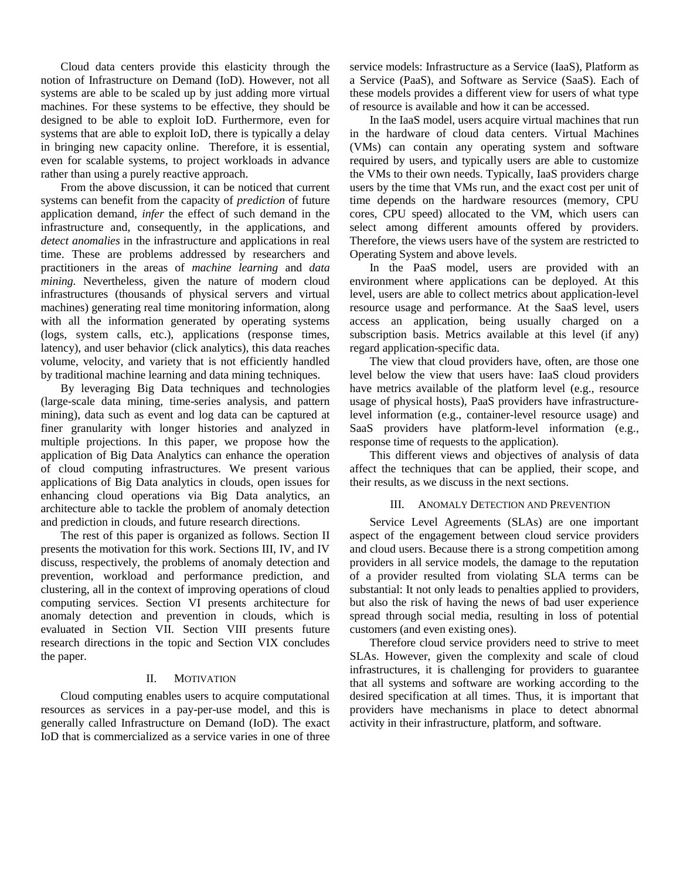Cloud data centers provide this elasticity through the notion of Infrastructure on Demand (IoD). However, not all systems are able to be scaled up by just adding more virtual machines. For these systems to be effective, they should be designed to be able to exploit IoD. Furthermore, even for systems that are able to exploit IoD, there is typically a delay in bringing new capacity online. Therefore, it is essential, even for scalable systems, to project workloads in advance rather than using a purely reactive approach.

From the above discussion, it can be noticed that current systems can benefit from the capacity of *prediction* of future application demand, *infer* the effect of such demand in the infrastructure and, consequently, in the applications, and *detect anomalies* in the infrastructure and applications in real time. These are problems addressed by researchers and practitioners in the areas of *machine learning* and *data mining.* Nevertheless, given the nature of modern cloud infrastructures (thousands of physical servers and virtual machines) generating real time monitoring information, along with all the information generated by operating systems (logs, system calls, etc.), applications (response times, latency), and user behavior (click analytics), this data reaches volume, velocity, and variety that is not efficiently handled by traditional machine learning and data mining techniques.

By leveraging Big Data techniques and technologies (large-scale data mining, time-series analysis, and pattern mining), data such as event and log data can be captured at finer granularity with longer histories and analyzed in multiple projections. In this paper, we propose how the application of Big Data Analytics can enhance the operation of cloud computing infrastructures. We present various applications of Big Data analytics in clouds, open issues for enhancing cloud operations via Big Data analytics, an architecture able to tackle the problem of anomaly detection and prediction in clouds, and future research directions.

The rest of this paper is organized as follows. Section II presents the motivation for this work. Sections III, IV, and IV discuss, respectively, the problems of anomaly detection and prevention, workload and performance prediction, and clustering, all in the context of improving operations of cloud computing services. Section VI presents architecture for anomaly detection and prevention in clouds, which is evaluated in Section VII. Section VIII presents future research directions in the topic and Section VIX concludes the paper.

# II. MOTIVATION

Cloud computing enables users to acquire computational resources as services in a pay-per-use model, and this is generally called Infrastructure on Demand (IoD). The exact IoD that is commercialized as a service varies in one of three service models: Infrastructure as a Service (IaaS), Platform as a Service (PaaS), and Software as Service (SaaS). Each of these models provides a different view for users of what type of resource is available and how it can be accessed.

In the IaaS model, users acquire virtual machines that run in the hardware of cloud data centers. Virtual Machines (VMs) can contain any operating system and software required by users, and typically users are able to customize the VMs to their own needs. Typically, IaaS providers charge users by the time that VMs run, and the exact cost per unit of time depends on the hardware resources (memory, CPU cores, CPU speed) allocated to the VM, which users can select among different amounts offered by providers. Therefore, the views users have of the system are restricted to Operating System and above levels.

In the PaaS model, users are provided with an environment where applications can be deployed. At this level, users are able to collect metrics about application-level resource usage and performance. At the SaaS level, users access an application, being usually charged on a subscription basis. Metrics available at this level (if any) regard application-specific data.

The view that cloud providers have, often, are those one level below the view that users have: IaaS cloud providers have metrics available of the platform level (e.g., resource usage of physical hosts), PaaS providers have infrastructurelevel information (e.g., container-level resource usage) and SaaS providers have platform-level information (e.g., response time of requests to the application).

This different views and objectives of analysis of data affect the techniques that can be applied, their scope, and their results, as we discuss in the next sections.

#### III. ANOMALY DETECTION AND PREVENTION

Service Level Agreements (SLAs) are one important aspect of the engagement between cloud service providers and cloud users. Because there is a strong competition among providers in all service models, the damage to the reputation of a provider resulted from violating SLA terms can be substantial: It not only leads to penalties applied to providers, but also the risk of having the news of bad user experience spread through social media, resulting in loss of potential customers (and even existing ones).

Therefore cloud service providers need to strive to meet SLAs. However, given the complexity and scale of cloud infrastructures, it is challenging for providers to guarantee that all systems and software are working according to the desired specification at all times. Thus, it is important that providers have mechanisms in place to detect abnormal activity in their infrastructure, platform, and software.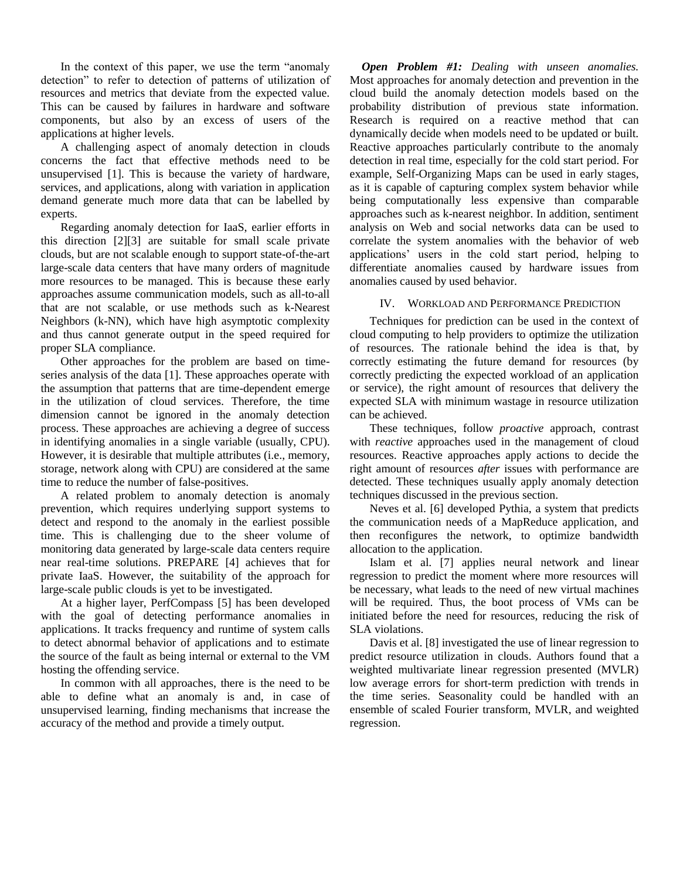In the context of this paper, we use the term "anomaly detection" to refer to detection of patterns of utilization of resources and metrics that deviate from the expected value. This can be caused by failures in hardware and software components, but also by an excess of users of the applications at higher levels.

A challenging aspect of anomaly detection in clouds concerns the fact that effective methods need to be unsupervised [\[1\].](#page-9-0) This is because the variety of hardware, services, and applications, along with variation in application demand generate much more data that can be labelled by experts.

Regarding anomaly detection for IaaS, earlier efforts in this direction [\[2\]\[3\]](#page-9-1) are suitable for small scale private clouds, but are not scalable enough to support state-of-the-art large-scale data centers that have many orders of magnitude more resources to be managed. This is because these early approaches assume communication models, such as all-to-all that are not scalable, or use methods such as k-Nearest Neighbors (k-NN), which have high asymptotic complexity and thus cannot generate output in the speed required for proper SLA compliance.

Other approaches for the problem are based on timeseries analysis of the data [\[1\].](#page-9-0) These approaches operate with the assumption that patterns that are time-dependent emerge in the utilization of cloud services. Therefore, the time dimension cannot be ignored in the anomaly detection process. These approaches are achieving a degree of success in identifying anomalies in a single variable (usually, CPU). However, it is desirable that multiple attributes (i.e., memory, storage, network along with CPU) are considered at the same time to reduce the number of false-positives.

A related problem to anomaly detection is anomaly prevention, which requires underlying support systems to detect and respond to the anomaly in the earliest possible time. This is challenging due to the sheer volume of monitoring data generated by large-scale data centers require near real-time solutions. PREPARE [\[4\]](#page-9-2) achieves that for private IaaS. However, the suitability of the approach for large-scale public clouds is yet to be investigated.

At a higher layer, PerfCompass [\[5\]](#page-9-3) has been developed with the goal of detecting performance anomalies in applications. It tracks frequency and runtime of system calls to detect abnormal behavior of applications and to estimate the source of the fault as being internal or external to the VM hosting the offending service.

In common with all approaches, there is the need to be able to define what an anomaly is and, in case of unsupervised learning, finding mechanisms that increase the accuracy of the method and provide a timely output.

*Open Problem #1: Dealing with unseen anomalies.* Most approaches for anomaly detection and prevention in the cloud build the anomaly detection models based on the probability distribution of previous state information. Research is required on a reactive method that can dynamically decide when models need to be updated or built. Reactive approaches particularly contribute to the anomaly detection in real time, especially for the cold start period. For example, Self-Organizing Maps can be used in early stages, as it is capable of capturing complex system behavior while being computationally less expensive than comparable approaches such as k-nearest neighbor. In addition, sentiment analysis on Web and social networks data can be used to correlate the system anomalies with the behavior of web applications' users in the cold start period, helping to differentiate anomalies caused by hardware issues from anomalies caused by used behavior.

#### IV. WORKLOAD AND PERFORMANCE PREDICTION

Techniques for prediction can be used in the context of cloud computing to help providers to optimize the utilization of resources. The rationale behind the idea is that, by correctly estimating the future demand for resources (by correctly predicting the expected workload of an application or service), the right amount of resources that delivery the expected SLA with minimum wastage in resource utilization can be achieved.

These techniques, follow *proactive* approach*,* contrast with *reactive* approaches used in the management of cloud resources. Reactive approaches apply actions to decide the right amount of resources *after* issues with performance are detected. These techniques usually apply anomaly detection techniques discussed in the previous section.

Neves et al. [\[6\]](#page-9-4) developed Pythia, a system that predicts the communication needs of a MapReduce application, and then reconfigures the network, to optimize bandwidth allocation to the application.

Islam et al. [\[7\]](#page-9-5) applies neural network and linear regression to predict the moment where more resources will be necessary, what leads to the need of new virtual machines will be required. Thus, the boot process of VMs can be initiated before the need for resources, reducing the risk of SLA violations.

Davis et al. [\[8\]](#page-9-6) investigated the use of linear regression to predict resource utilization in clouds. Authors found that a weighted multivariate linear regression presented (MVLR) low average errors for short-term prediction with trends in the time series. Seasonality could be handled with an ensemble of scaled Fourier transform, MVLR, and weighted regression.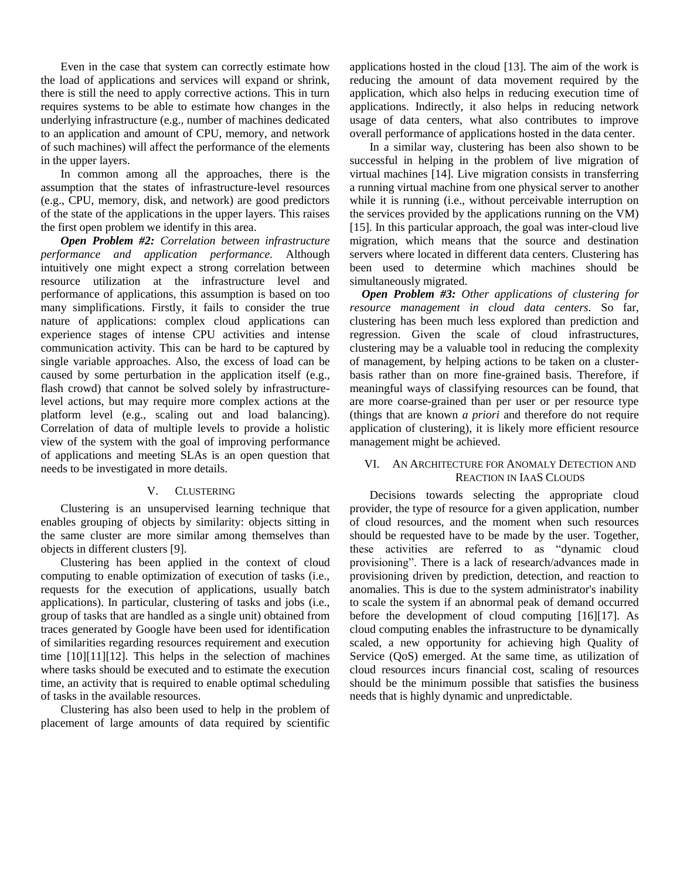Even in the case that system can correctly estimate how the load of applications and services will expand or shrink, there is still the need to apply corrective actions. This in turn requires systems to be able to estimate how changes in the underlying infrastructure (e.g., number of machines dedicated to an application and amount of CPU, memory, and network of such machines) will affect the performance of the elements in the upper layers.

In common among all the approaches, there is the assumption that the states of infrastructure-level resources (e.g., CPU, memory, disk, and network) are good predictors of the state of the applications in the upper layers. This raises the first open problem we identify in this area.

*Open Problem #2: Correlation between infrastructure performance and application performance.* Although intuitively one might expect a strong correlation between resource utilization at the infrastructure level and performance of applications, this assumption is based on too many simplifications. Firstly, it fails to consider the true nature of applications: complex cloud applications can experience stages of intense CPU activities and intense communication activity. This can be hard to be captured by single variable approaches. Also, the excess of load can be caused by some perturbation in the application itself (e.g., flash crowd) that cannot be solved solely by infrastructurelevel actions, but may require more complex actions at the platform level (e.g., scaling out and load balancing). Correlation of data of multiple levels to provide a holistic view of the system with the goal of improving performance of applications and meeting SLAs is an open question that needs to be investigated in more details.

#### V. CLUSTERING

Clustering is an unsupervised learning technique that enables grouping of objects by similarity: objects sitting in the same cluster are more similar among themselves than objects in different clusters [\[9\].](#page-9-7)

Clustering has been applied in the context of cloud computing to enable optimization of execution of tasks (i.e., requests for the execution of applications, usually batch applications). In particular, clustering of tasks and jobs (i.e., group of tasks that are handled as a single unit) obtained from traces generated by Google have been used for identification of similarities regarding resources requirement and execution time [\[10\]\[11\]](#page-9-8)[\[12\].](#page-9-9) This helps in the selection of machines where tasks should be executed and to estimate the execution time, an activity that is required to enable optimal scheduling of tasks in the available resources.

Clustering has also been used to help in the problem of placement of large amounts of data required by scientific

applications hosted in the cloud [\[13\].](#page-9-10) The aim of the work is reducing the amount of data movement required by the application, which also helps in reducing execution time of applications. Indirectly, it also helps in reducing network usage of data centers, what also contributes to improve overall performance of applications hosted in the data center.

In a similar way, clustering has been also shown to be successful in helping in the problem of live migration of virtual machines [\[14\].](#page-9-11) Live migration consists in transferring a running virtual machine from one physical server to another while it is running (i.e., without perceivable interruption on the services provided by the applications running on the VM) [\[15\].](#page-9-12) In this particular approach, the goal was inter-cloud live migration, which means that the source and destination servers where located in different data centers. Clustering has been used to determine which machines should be simultaneously migrated.

*Open Problem #3: Other applications of clustering for resource management in cloud data centers.* So far, clustering has been much less explored than prediction and regression. Given the scale of cloud infrastructures, clustering may be a valuable tool in reducing the complexity of management, by helping actions to be taken on a clusterbasis rather than on more fine-grained basis. Therefore, if meaningful ways of classifying resources can be found, that are more coarse-grained than per user or per resource type (things that are known *a priori* and therefore do not require application of clustering), it is likely more efficient resource management might be achieved.

## VI. AN ARCHITECTURE FOR ANOMALY DETECTION AND REACTION IN IAAS CLOUDS

Decisions towards selecting the appropriate cloud provider, the type of resource for a given application, number of cloud resources, and the moment when such resources should be requested have to be made by the user. Together, these activities are referred to as "dynamic cloud provisioning". There is a lack of research/advances made in provisioning driven by prediction, detection, and reaction to anomalies. This is due to the system administrator's inability to scale the system if an abnormal peak of demand occurred before the development of cloud computing [\[16\]\[17\].](#page-9-13) As cloud computing enables the infrastructure to be dynamically scaled, a new opportunity for achieving high Quality of Service (QoS) emerged. At the same time, as utilization of cloud resources incurs financial cost, scaling of resources should be the minimum possible that satisfies the business needs that is highly dynamic and unpredictable.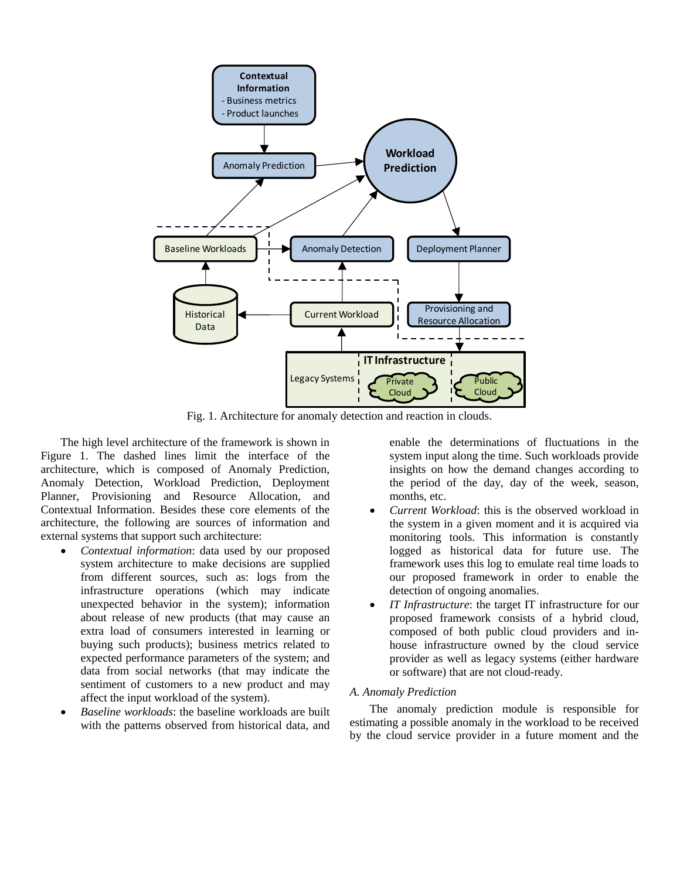

Fig. 1. Architecture for anomaly detection and reaction in clouds.

The high level architecture of the framework is shown in Figure 1. The dashed lines limit the interface of the architecture, which is composed of Anomaly Prediction, Anomaly Detection, Workload Prediction, Deployment Planner, Provisioning and Resource Allocation, and Contextual Information. Besides these core elements of the architecture, the following are sources of information and external systems that support such architecture:

- *Contextual information*: data used by our proposed system architecture to make decisions are supplied from different sources, such as: logs from the infrastructure operations (which may indicate unexpected behavior in the system); information about release of new products (that may cause an extra load of consumers interested in learning or buying such products); business metrics related to expected performance parameters of the system; and data from social networks (that may indicate the sentiment of customers to a new product and may affect the input workload of the system).
- *Baseline workloads*: the baseline workloads are built with the patterns observed from historical data, and

enable the determinations of fluctuations in the system input along the time. Such workloads provide insights on how the demand changes according to the period of the day, day of the week, season, months, etc.

- *Current Workload*: this is the observed workload in the system in a given moment and it is acquired via monitoring tools. This information is constantly logged as historical data for future use. The framework uses this log to emulate real time loads to our proposed framework in order to enable the detection of ongoing anomalies.
- *IT Infrastructure*: the target IT infrastructure for our proposed framework consists of a hybrid cloud, composed of both public cloud providers and inhouse infrastructure owned by the cloud service provider as well as legacy systems (either hardware or software) that are not cloud-ready.

#### *A. Anomaly Prediction*

The anomaly prediction module is responsible for estimating a possible anomaly in the workload to be received by the cloud service provider in a future moment and the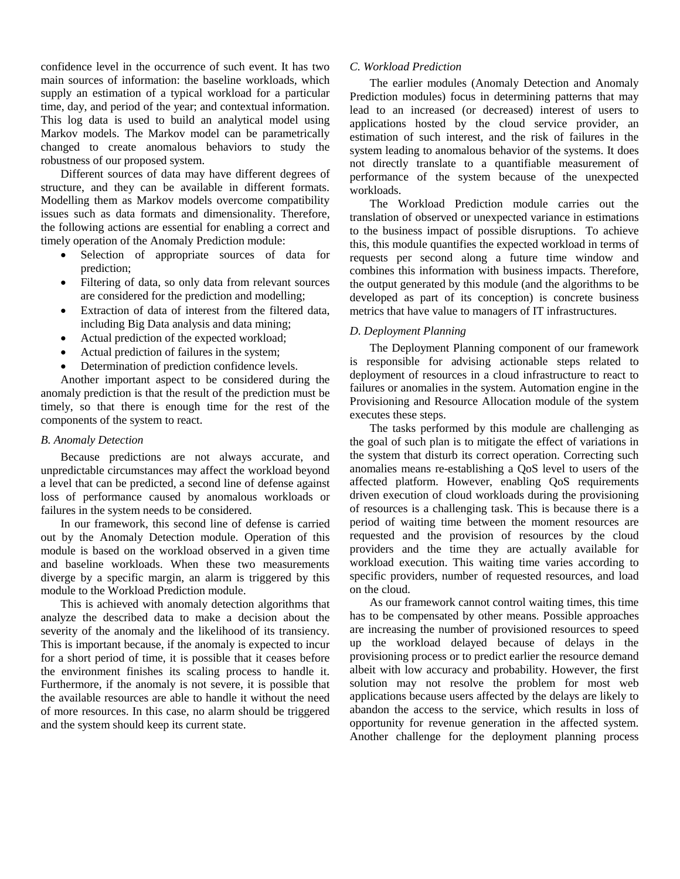confidence level in the occurrence of such event. It has two main sources of information: the baseline workloads, which supply an estimation of a typical workload for a particular time, day, and period of the year; and contextual information. This log data is used to build an analytical model using Markov models. The Markov model can be parametrically changed to create anomalous behaviors to study the robustness of our proposed system.

Different sources of data may have different degrees of structure, and they can be available in different formats. Modelling them as Markov models overcome compatibility issues such as data formats and dimensionality. Therefore, the following actions are essential for enabling a correct and timely operation of the Anomaly Prediction module:

- Selection of appropriate sources of data for prediction;
- Filtering of data, so only data from relevant sources are considered for the prediction and modelling;
- Extraction of data of interest from the filtered data, including Big Data analysis and data mining;
- Actual prediction of the expected workload;
- Actual prediction of failures in the system;
- Determination of prediction confidence levels.

Another important aspect to be considered during the anomaly prediction is that the result of the prediction must be timely, so that there is enough time for the rest of the components of the system to react.

## *B. Anomaly Detection*

Because predictions are not always accurate, and unpredictable circumstances may affect the workload beyond a level that can be predicted, a second line of defense against loss of performance caused by anomalous workloads or failures in the system needs to be considered.

In our framework, this second line of defense is carried out by the Anomaly Detection module. Operation of this module is based on the workload observed in a given time and baseline workloads. When these two measurements diverge by a specific margin, an alarm is triggered by this module to the Workload Prediction module.

This is achieved with anomaly detection algorithms that analyze the described data to make a decision about the severity of the anomaly and the likelihood of its transiency. This is important because, if the anomaly is expected to incur for a short period of time, it is possible that it ceases before the environment finishes its scaling process to handle it. Furthermore, if the anomaly is not severe, it is possible that the available resources are able to handle it without the need of more resources. In this case, no alarm should be triggered and the system should keep its current state.

# *C. Workload Prediction*

The earlier modules (Anomaly Detection and Anomaly Prediction modules) focus in determining patterns that may lead to an increased (or decreased) interest of users to applications hosted by the cloud service provider, an estimation of such interest, and the risk of failures in the system leading to anomalous behavior of the systems. It does not directly translate to a quantifiable measurement of performance of the system because of the unexpected workloads.

The Workload Prediction module carries out the translation of observed or unexpected variance in estimations to the business impact of possible disruptions. To achieve this, this module quantifies the expected workload in terms of requests per second along a future time window and combines this information with business impacts. Therefore, the output generated by this module (and the algorithms to be developed as part of its conception) is concrete business metrics that have value to managers of IT infrastructures.

#### *D. Deployment Planning*

The Deployment Planning component of our framework is responsible for advising actionable steps related to deployment of resources in a cloud infrastructure to react to failures or anomalies in the system. Automation engine in the Provisioning and Resource Allocation module of the system executes these steps.

The tasks performed by this module are challenging as the goal of such plan is to mitigate the effect of variations in the system that disturb its correct operation. Correcting such anomalies means re-establishing a QoS level to users of the affected platform. However, enabling QoS requirements driven execution of cloud workloads during the provisioning of resources is a challenging task. This is because there is a period of waiting time between the moment resources are requested and the provision of resources by the cloud providers and the time they are actually available for workload execution. This waiting time varies according to specific providers, number of requested resources, and load on the cloud.

As our framework cannot control waiting times, this time has to be compensated by other means. Possible approaches are increasing the number of provisioned resources to speed up the workload delayed because of delays in the provisioning process or to predict earlier the resource demand albeit with low accuracy and probability. However, the first solution may not resolve the problem for most web applications because users affected by the delays are likely to abandon the access to the service, which results in loss of opportunity for revenue generation in the affected system. Another challenge for the deployment planning process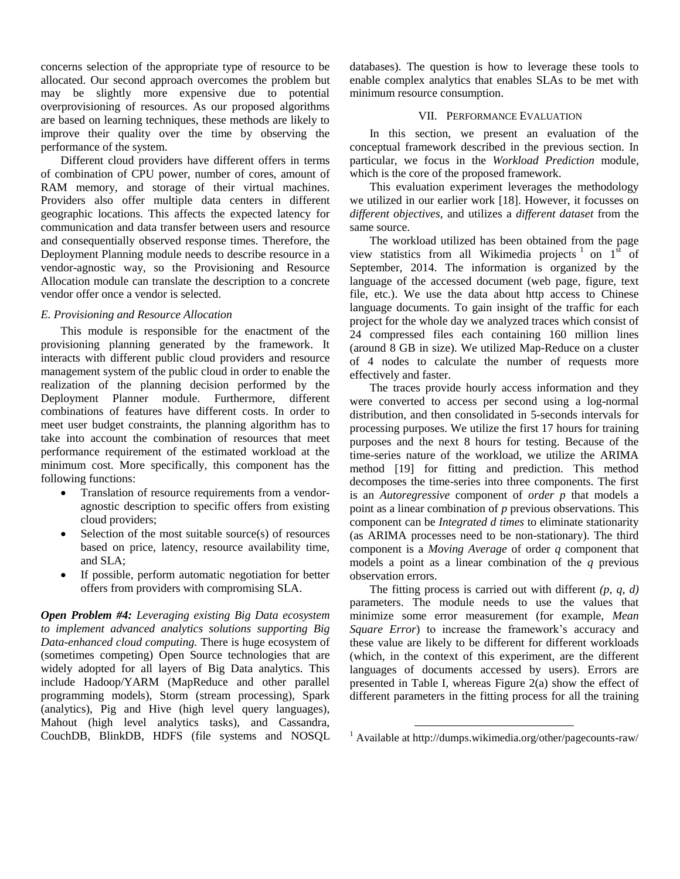concerns selection of the appropriate type of resource to be allocated. Our second approach overcomes the problem but may be slightly more expensive due to potential overprovisioning of resources. As our proposed algorithms are based on learning techniques, these methods are likely to improve their quality over the time by observing the performance of the system.

Different cloud providers have different offers in terms of combination of CPU power, number of cores, amount of RAM memory, and storage of their virtual machines. Providers also offer multiple data centers in different geographic locations. This affects the expected latency for communication and data transfer between users and resource and consequentially observed response times. Therefore, the Deployment Planning module needs to describe resource in a vendor-agnostic way, so the Provisioning and Resource Allocation module can translate the description to a concrete vendor offer once a vendor is selected.

# *E. Provisioning and Resource Allocation*

This module is responsible for the enactment of the provisioning planning generated by the framework. It interacts with different public cloud providers and resource management system of the public cloud in order to enable the realization of the planning decision performed by the Deployment Planner module. Furthermore, different combinations of features have different costs. In order to meet user budget constraints, the planning algorithm has to take into account the combination of resources that meet performance requirement of the estimated workload at the minimum cost. More specifically, this component has the following functions:

- Translation of resource requirements from a vendoragnostic description to specific offers from existing cloud providers;
- Selection of the most suitable source(s) of resources based on price, latency, resource availability time, and SLA;
- If possible, perform automatic negotiation for better offers from providers with compromising SLA.

*Open Problem #4: Leveraging existing Big Data ecosystem to implement advanced analytics solutions supporting Big Data-enhanced cloud computing.* There is huge ecosystem of (sometimes competing) Open Source technologies that are widely adopted for all layers of Big Data analytics. This include Hadoop/YARM (MapReduce and other parallel programming models), Storm (stream processing), Spark (analytics), Pig and Hive (high level query languages), Mahout (high level analytics tasks), and Cassandra, CouchDB, BlinkDB, HDFS (file systems and NOSQL databases). The question is how to leverage these tools to enable complex analytics that enables SLAs to be met with minimum resource consumption.

## VII. PERFORMANCE EVALUATION

In this section, we present an evaluation of the conceptual framework described in the previous section. In particular, we focus in the *Workload Prediction* module, which is the core of the proposed framework.

This evaluation experiment leverages the methodology we utilized in our earlier work [\[18\].](#page-9-14) However, it focusses on *different objectives,* and utilizes a *different dataset* from the same source.

The workload utilized has been obtained from the page view statistics from all Wikimedia projects  $1$  on  $1^{st}$  of September, 2014. The information is organized by the language of the accessed document (web page, figure, text file, etc.). We use the data about http access to Chinese language documents. To gain insight of the traffic for each project for the whole day we analyzed traces which consist of 24 compressed files each containing 160 million lines (around 8 GB in size). We utilized Map-Reduce on a cluster of 4 nodes to calculate the number of requests more effectively and faster.

The traces provide hourly access information and they were converted to access per second using a log-normal distribution, and then consolidated in 5-seconds intervals for processing purposes. We utilize the first 17 hours for training purposes and the next 8 hours for testing. Because of the time-series nature of the workload, we utilize the ARIMA method [\[19\]](#page-9-15) for fitting and prediction. This method decomposes the time-series into three components. The first is an *Autoregressive* component of *order p* that models a point as a linear combination of *p* previous observations. This component can be *Integrated d times* to eliminate stationarity (as ARIMA processes need to be non-stationary). The third component is a *Moving Average* of order *q* component that models a point as a linear combination of the *q* previous observation errors.

The fitting process is carried out with different *(p, q, d)* parameters. The module needs to use the values that minimize some error measurement (for example, *Mean Square Error*) to increase the framework's accuracy and these value are likely to be different for different workloads (which, in the context of this experiment, are the different languages of documents accessed by users). Errors are presented in Table I, whereas Figure 2(a) show the effect of different parameters in the fitting process for all the training

 $\overline{a}$ 

<sup>1</sup> Available at http://dumps.wikimedia.org/other/pagecounts-raw/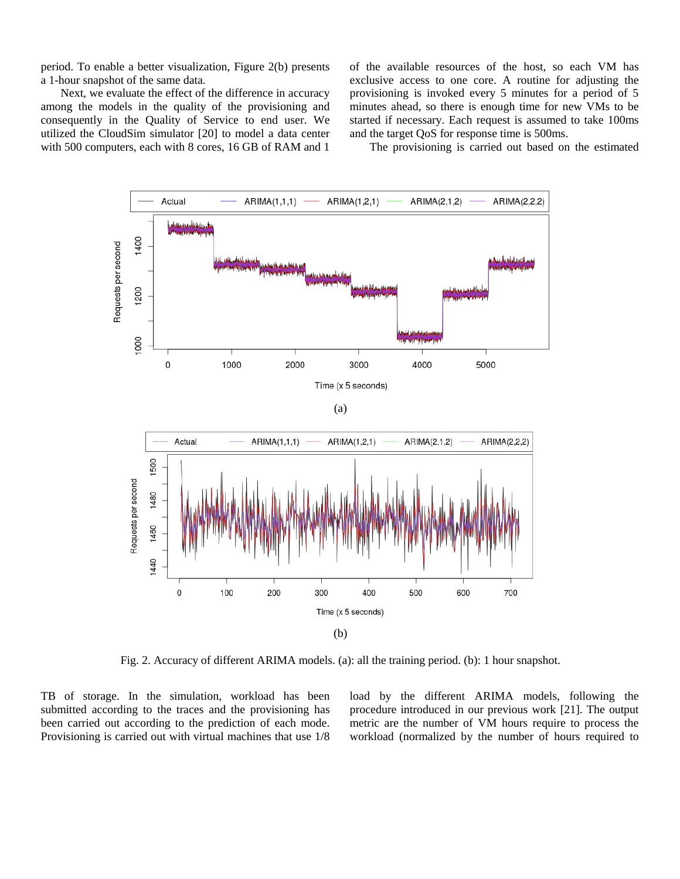period. To enable a better visualization, Figure 2(b) presents a 1-hour snapshot of the same data.

Next, we evaluate the effect of the difference in accuracy among the models in the quality of the provisioning and consequently in the Quality of Service to end user. We utilized the CloudSim simulator [\[20\]](#page-9-16) to model a data center with 500 computers, each with 8 cores, 16 GB of RAM and 1 of the available resources of the host, so each VM has exclusive access to one core. A routine for adjusting the provisioning is invoked every 5 minutes for a period of 5 minutes ahead, so there is enough time for new VMs to be started if necessary. Each request is assumed to take 100ms and the target QoS for response time is 500ms.

The provisioning is carried out based on the estimated



Fig. 2. Accuracy of different ARIMA models. (a): all the training period. (b): 1 hour snapshot.

TB of storage. In the simulation, workload has been submitted according to the traces and the provisioning has been carried out according to the prediction of each mode. Provisioning is carried out with virtual machines that use 1/8 load by the different ARIMA models, following the procedure introduced in our previous work [\[21\].](#page-9-17) The output metric are the number of VM hours require to process the workload (normalized by the number of hours required to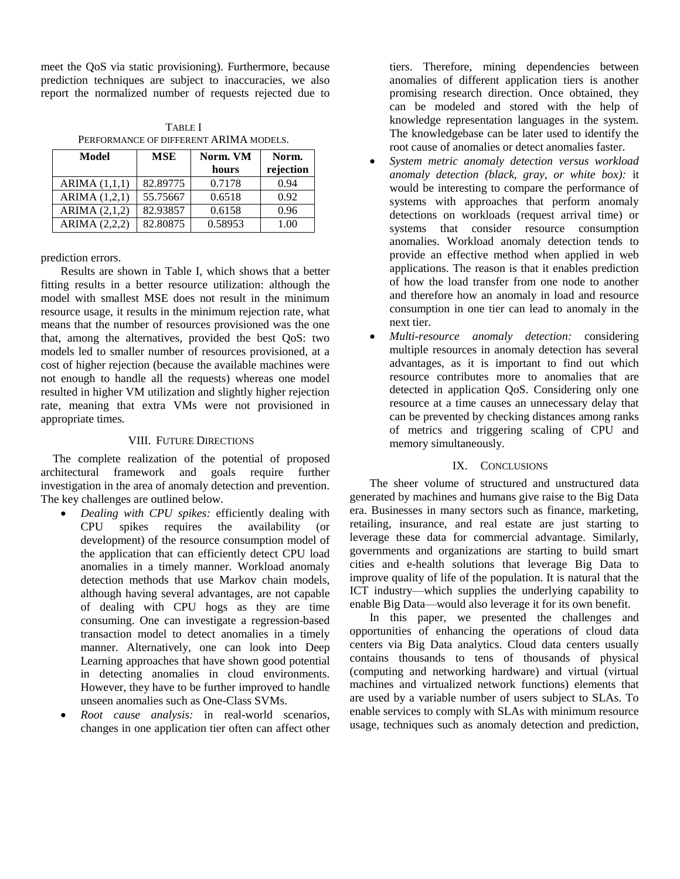meet the QoS via static provisioning). Furthermore, because prediction techniques are subject to inaccuracies, we also report the normalized number of requests rejected due to

TABLE I PERFORMANCE OF DIFFERENT ARIMA MODELS.

| Model           | <b>MSE</b> | Norm. VM | Norm.     |
|-----------------|------------|----------|-----------|
|                 |            | hours    | rejection |
| ARIMA(1,1,1)    | 82.89775   | 0.7178   | 0.94      |
| ARIMA (1,2,1)   | 55.75667   | 0.6518   | 0.92      |
| ARIMA $(2,1,2)$ | 82.93857   | 0.6158   | 0.96      |
| ARIMA (2.2.2)   | 82.80875   | 0.58953  | 1.00      |

prediction errors.

Results are shown in Table I, which shows that a better fitting results in a better resource utilization: although the model with smallest MSE does not result in the minimum resource usage, it results in the minimum rejection rate, what means that the number of resources provisioned was the one that, among the alternatives, provided the best QoS: two models led to smaller number of resources provisioned, at a cost of higher rejection (because the available machines were not enough to handle all the requests) whereas one model resulted in higher VM utilization and slightly higher rejection rate, meaning that extra VMs were not provisioned in appropriate times.

# VIII. FUTURE DIRECTIONS

The complete realization of the potential of proposed architectural framework and goals require further investigation in the area of anomaly detection and prevention. The key challenges are outlined below.

- *Dealing with CPU spikes:* efficiently dealing with CPU spikes requires the availability (or development) of the resource consumption model of the application that can efficiently detect CPU load anomalies in a timely manner. Workload anomaly detection methods that use Markov chain models, although having several advantages, are not capable of dealing with CPU hogs as they are time consuming. One can investigate a regression-based transaction model to detect anomalies in a timely manner. Alternatively, one can look into Deep Learning approaches that have shown good potential in detecting anomalies in cloud environments. However, they have to be further improved to handle unseen anomalies such as One-Class SVMs.
- *Root cause analysis:* in real-world scenarios, changes in one application tier often can affect other

tiers. Therefore, mining dependencies between anomalies of different application tiers is another promising research direction. Once obtained, they can be modeled and stored with the help of knowledge representation languages in the system. The knowledgebase can be later used to identify the root cause of anomalies or detect anomalies faster.

- *System metric anomaly detection versus workload anomaly detection (black, gray, or white box):* it would be interesting to compare the performance of systems with approaches that perform anomaly detections on workloads (request arrival time) or systems that consider resource consumption anomalies. Workload anomaly detection tends to provide an effective method when applied in web applications. The reason is that it enables prediction of how the load transfer from one node to another and therefore how an anomaly in load and resource consumption in one tier can lead to anomaly in the next tier.
- *Multi-resource anomaly detection:* considering multiple resources in anomaly detection has several advantages, as it is important to find out which resource contributes more to anomalies that are detected in application QoS. Considering only one resource at a time causes an unnecessary delay that can be prevented by checking distances among ranks of metrics and triggering scaling of CPU and memory simultaneously.

# IX. CONCLUSIONS

The sheer volume of structured and unstructured data generated by machines and humans give raise to the Big Data era. Businesses in many sectors such as finance, marketing, retailing, insurance, and real estate are just starting to leverage these data for commercial advantage. Similarly, governments and organizations are starting to build smart cities and e-health solutions that leverage Big Data to improve quality of life of the population. It is natural that the ICT industry—which supplies the underlying capability to enable Big Data—would also leverage it for its own benefit.

In this paper, we presented the challenges and opportunities of enhancing the operations of cloud data centers via Big Data analytics. Cloud data centers usually contains thousands to tens of thousands of physical (computing and networking hardware) and virtual (virtual machines and virtualized network functions) elements that are used by a variable number of users subject to SLAs. To enable services to comply with SLAs with minimum resource usage, techniques such as anomaly detection and prediction,